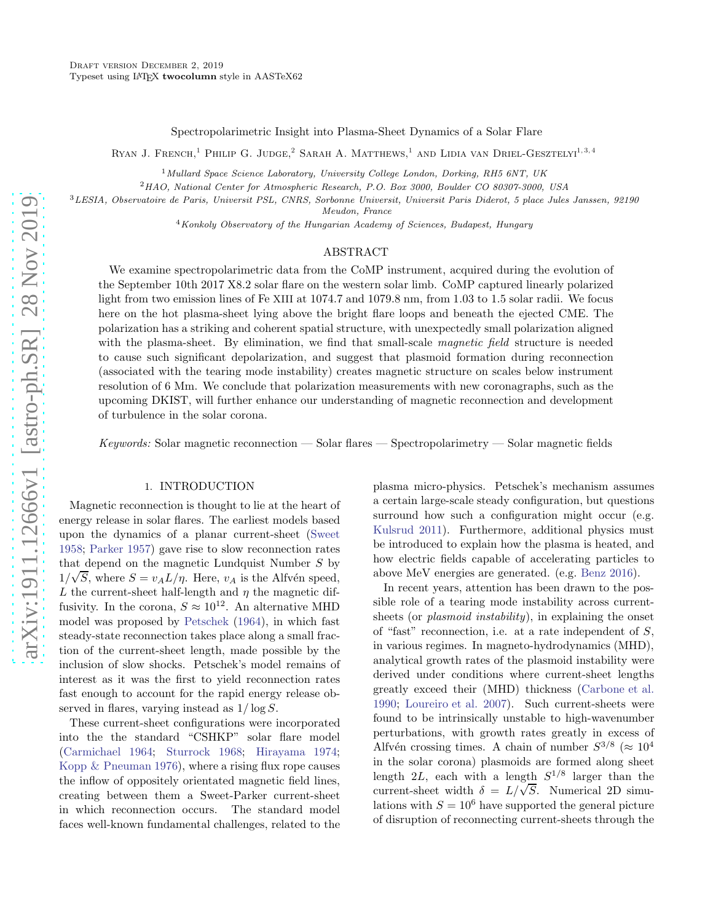Spectropolarimetric Insight into Plasma-Sheet Dynamics of a Solar Flare

RYAN J. FRENCH,<sup>1</sup> PHILIP G. JUDGE,<sup>2</sup> SARAH A. MATTHEWS,<sup>1</sup> AND LIDIA VAN DRIEL-GESZTELYI<sup>1,3,4</sup>

 $1$ Mullard Space Science Laboratory, University College London, Dorking, RH5 6NT, UK

<sup>2</sup>HAO, National Center for Atmospheric Research, P.O. Box 3000, Boulder CO 80307-3000, USA

<sup>3</sup>LESIA, Observatoire de Paris, Universit PSL, CNRS, Sorbonne Universit, Universit Paris Diderot, 5 place Jules Janssen, 92190

Meudon, France

<sup>4</sup> Konkoly Observatory of the Hungarian Academy of Sciences, Budapest, Hungary

## ABSTRACT

We examine spectropolarimetric data from the CoMP instrument, acquired during the evolution of the September 10th 2017 X8.2 solar flare on the western solar limb. CoMP captured linearly polarized light from two emission lines of Fe XIII at 1074.7 and 1079.8 nm, from 1.03 to 1.5 solar radii. We focus here on the hot plasma-sheet lying above the bright flare loops and beneath the ejected CME. The polarization has a striking and coherent spatial structure, with unexpectedly small polarization aligned with the plasma-sheet. By elimination, we find that small-scale *magnetic field* structure is needed to cause such significant depolarization, and suggest that plasmoid formation during reconnection (associated with the tearing mode instability) creates magnetic structure on scales below instrument resolution of 6 Mm. We conclude that polarization measurements with new coronagraphs, such as the upcoming DKIST, will further enhance our understanding of magnetic reconnection and development of turbulence in the solar corona.

Keywords: Solar magnetic reconnection — Solar flares — Spectropolarimetry — Solar magnetic fields

# 1. INTRODUCTION

Magnetic reconnection is thought to lie at the heart of energy release in solar flares. The earliest models based upon the dynamics of a planar current-sheet [\(Sweet](#page-9-0) [1958;](#page-9-0) [Parker 1957](#page-8-0)) gave rise to slow reconnection rates that depend on the magnetic Lundquist Number S by  $1/\sqrt{S}$ , where  $S = v_A L/\eta$ . Here,  $v_A$  is the Alfvén speed, L the current-sheet half-length and  $\eta$  the magnetic diffusivity. In the corona,  $S \approx 10^{12}$ . An alternative MHD model was proposed by [Petschek](#page-8-1) [\(1964](#page-8-1)), in which fast steady-state reconnection takes place along a small fraction of the current-sheet length, made possible by the inclusion of slow shocks. Petschek's model remains of interest as it was the first to yield reconnection rates fast enough to account for the rapid energy release observed in flares, varying instead as  $1/\log S$ .

These current-sheet configurations were incorporated into the the standard "CSHKP" solar flare model [\(Carmichael 1964;](#page-8-2) [Sturrock 1968;](#page-9-1) [Hirayama 1974;](#page-8-3) [Kopp & Pneuman 1976\)](#page-8-4), where a rising flux rope causes the inflow of oppositely orientated magnetic field lines, creating between them a Sweet-Parker current-sheet in which reconnection occurs. The standard model faces well-known fundamental challenges, related to the

plasma micro-physics. Petschek's mechanism assumes a certain large-scale steady configuration, but questions surround how such a configuration might occur (e.g. [Kulsrud 2011\)](#page-8-5). Furthermore, additional physics must be introduced to explain how the plasma is heated, and how electric fields capable of accelerating particles to above MeV energies are generated. (e.g. [Benz 2016\)](#page-8-6).

In recent years, attention has been drawn to the possible role of a tearing mode instability across currentsheets (or *plasmoid instability*), in explaining the onset of "fast" reconnection, i.e. at a rate independent of S, in various regimes. In magneto-hydrodynamics (MHD), analytical growth rates of the plasmoid instability were derived under conditions where current-sheet lengths greatly exceed their (MHD) thickness [\(Carbone et al.](#page-8-7) [1990;](#page-8-7) [Loureiro et al. 2007](#page-8-8)). Such current-sheets were found to be intrinsically unstable to high-wavenumber perturbations, with growth rates greatly in excess of Alfvén crossing times. A chain of number  $S^{3/8}$  ( $\approx 10^4$ in the solar corona) plasmoids are formed along sheet length  $2L$ , each with a length  $S^{1/8}$  larger than the current-sheet width  $\delta = L/\sqrt{S}$ . Numerical 2D simulations with  $S = 10^6$  have supported the general picture of disruption of reconnecting current-sheets through the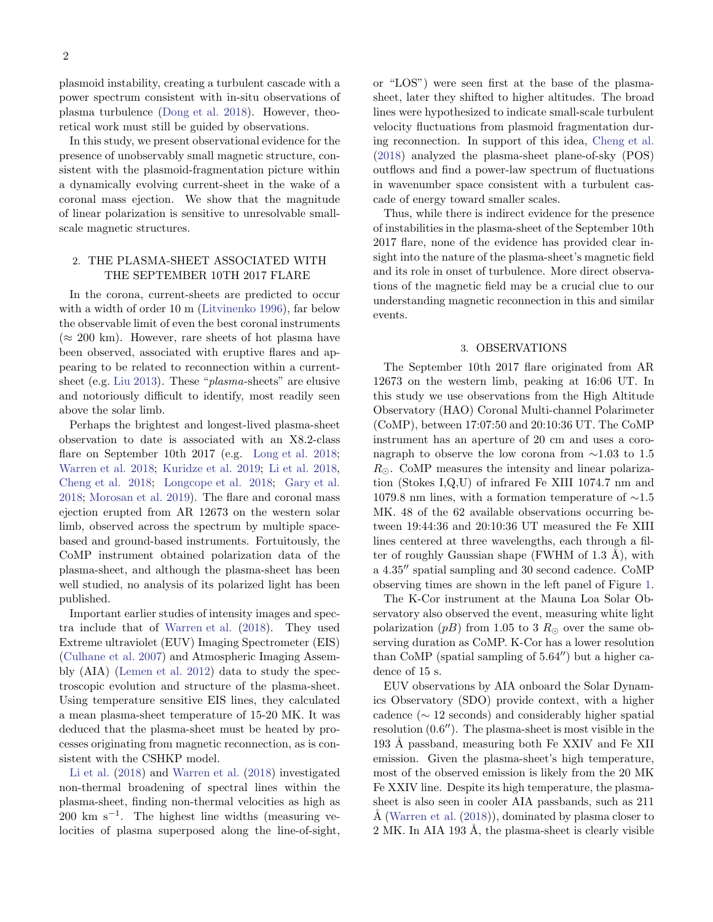2

plasmoid instability, creating a turbulent cascade with a power spectrum consistent with in-situ observations of plasma turbulence [\(Dong et al. 2018](#page-8-9)). However, theoretical work must still be guided by observations.

In this study, we present observational evidence for the presence of unobservably small magnetic structure, consistent with the plasmoid-fragmentation picture within a dynamically evolving current-sheet in the wake of a coronal mass ejection. We show that the magnitude of linear polarization is sensitive to unresolvable smallscale magnetic structures.

# 2. THE PLASMA-SHEET ASSOCIATED WITH THE SEPTEMBER 10TH 2017 FLARE

In the corona, current-sheets are predicted to occur with a width of order 10 m [\(Litvinenko 1996\)](#page-8-10), far below the observable limit of even the best coronal instruments  $(\approx 200 \text{ km})$ . However, rare sheets of hot plasma have been observed, associated with eruptive flares and appearing to be related to reconnection within a current-sheet (e.g. [Liu 2013\)](#page-8-11). These "*plasma*-sheets" are elusive and notoriously difficult to identify, most readily seen above the solar limb.

Perhaps the brightest and longest-lived plasma-sheet observation to date is associated with an X8.2-class flare on September 10th 2017 (e.g. [Long et al. 2018;](#page-8-12) [Warren et al. 2018;](#page-9-2) [Kuridze et al. 2019;](#page-8-13) [Li et al. 2018,](#page-8-14) [Cheng et al. 2018](#page-8-15); [Longcope et al. 2018](#page-8-16); [Gary et al.](#page-8-17) [2018;](#page-8-17) [Morosan et al. 2019\)](#page-8-18). The flare and coronal mass ejection erupted from AR 12673 on the western solar limb, observed across the spectrum by multiple spacebased and ground-based instruments. Fortuitously, the CoMP instrument obtained polarization data of the plasma-sheet, and although the plasma-sheet has been well studied, no analysis of its polarized light has been published.

Important earlier studies of intensity images and spectra include that of [Warren et al.](#page-9-2) [\(2018](#page-9-2)). They used Extreme ultraviolet (EUV) Imaging Spectrometer (EIS) [\(Culhane et al. 2007\)](#page-8-19) and Atmospheric Imaging Assembly (AIA) [\(Lemen et al. 2012\)](#page-8-20) data to study the spectroscopic evolution and structure of the plasma-sheet. Using temperature sensitive EIS lines, they calculated a mean plasma-sheet temperature of 15-20 MK. It was deduced that the plasma-sheet must be heated by processes originating from magnetic reconnection, as is consistent with the CSHKP model.

[Li et al.](#page-8-14) [\(2018\)](#page-8-14) and [Warren et al.](#page-9-2) [\(2018](#page-9-2)) investigated non-thermal broadening of spectral lines within the plasma-sheet, finding non-thermal velocities as high as  $200 \text{ km s}^{-1}$ . The highest line widths (measuring velocities of plasma superposed along the line-of-sight,

or "LOS") were seen first at the base of the plasmasheet, later they shifted to higher altitudes. The broad lines were hypothesized to indicate small-scale turbulent velocity fluctuations from plasmoid fragmentation during reconnection. In support of this idea, [Cheng et al.](#page-8-15) [\(2018\)](#page-8-15) analyzed the plasma-sheet plane-of-sky (POS) outflows and find a power-law spectrum of fluctuations in wavenumber space consistent with a turbulent cascade of energy toward smaller scales.

Thus, while there is indirect evidence for the presence of instabilities in the plasma-sheet of the September 10th 2017 flare, none of the evidence has provided clear insight into the nature of the plasma-sheet's magnetic field and its role in onset of turbulence. More direct observations of the magnetic field may be a crucial clue to our understanding magnetic reconnection in this and similar events.

#### 3. OBSERVATIONS

The September 10th 2017 flare originated from AR 12673 on the western limb, peaking at 16:06 UT. In this study we use observations from the High Altitude Observatory (HAO) Coronal Multi-channel Polarimeter (CoMP), between 17:07:50 and 20:10:36 UT. The CoMP instrument has an aperture of 20 cm and uses a coronagraph to observe the low corona from ∼1.03 to 1.5  $R_{\odot}$ . CoMP measures the intensity and linear polarization (Stokes I,Q,U) of infrared Fe XIII 1074.7 nm and 1079.8 nm lines, with a formation temperature of ∼1.5 MK. 48 of the 62 available observations occurring between 19:44:36 and 20:10:36 UT measured the Fe XIII lines centered at three wavelengths, each through a filter of roughly Gaussian shape (FWHM of  $1.3 \text{ Å}$ ), with a 4.35′′ spatial sampling and 30 second cadence. CoMP observing times are shown in the left panel of Figure [1.](#page-2-0)

The K-Cor instrument at the Mauna Loa Solar Observatory also observed the event, measuring white light polarization (pB) from 1.05 to 3  $R_{\odot}$  over the same observing duration as CoMP. K-Cor has a lower resolution than CoMP (spatial sampling of 5.64′′) but a higher cadence of 15 s.

EUV observations by AIA onboard the Solar Dynamics Observatory (SDO) provide context, with a higher cadence ( $\sim$  12 seconds) and considerably higher spatial resolution (0.6′′). The plasma-sheet is most visible in the 193 Å passband, measuring both Fe XXIV and Fe XII emission. Given the plasma-sheet's high temperature, most of the observed emission is likely from the 20 MK Fe XXIV line. Despite its high temperature, the plasmasheet is also seen in cooler AIA passbands, such as 211  $\AA$  [\(Warren et al.](#page-9-2) [\(2018\)](#page-9-2)), dominated by plasma closer to 2 MK. In AIA 193 Å, the plasma-sheet is clearly visible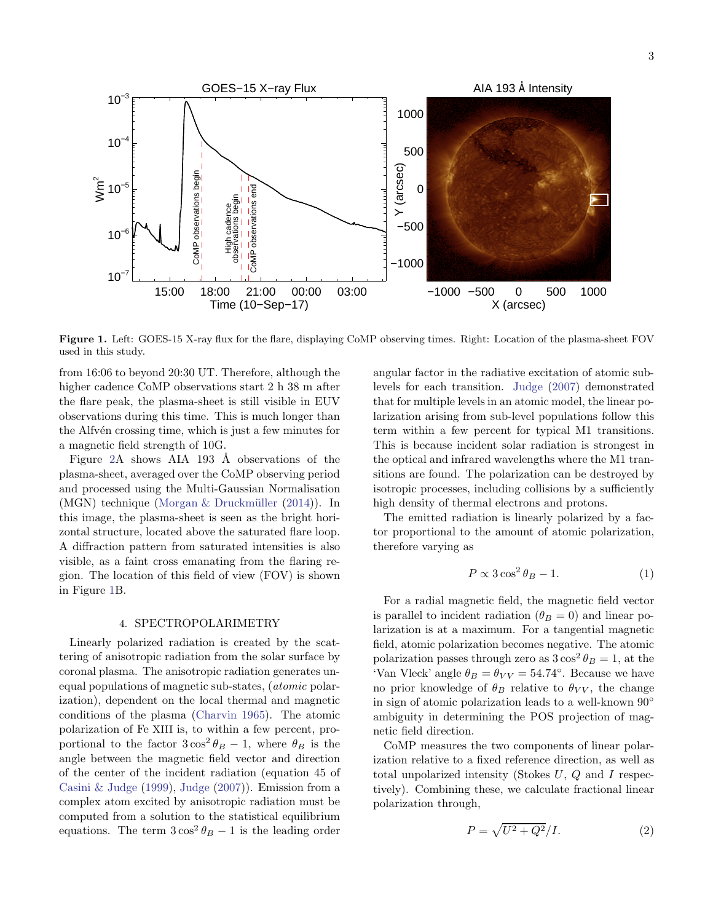AIA 193 Å Intensity GOES−15 X−ray Flux  $10^{-3}$ 1000 10−4 500 Y (arcsec) CoMP observations begin CoMP observations begin  $\sum_{5}^{\infty}$  10<sup>-5</sup> CoMP observations end 0 CoMP observations end High cadence<br>observations begin −500 10−6 −1000  $10^{-7}$ 15:00 18:00 21:00 00:00 03:00 −1000 −500 0 500 1000 X (arcsec) Time (10−Sep−17)

<span id="page-2-0"></span>Figure 1. Left: GOES-15 X-ray flux for the flare, displaying CoMP observing times. Right: Location of the plasma-sheet FOV used in this study.

from 16:06 to beyond 20:30 UT. Therefore, although the higher cadence CoMP observations start 2 h 38 m after the flare peak, the plasma-sheet is still visible in EUV observations during this time. This is much longer than the Alfv<sup>en</sup> crossing time, which is just a few minutes for a magnetic field strength of 10G.

Figure [2A](#page-3-0) shows  $AIA$  193 Å observations of the plasma-sheet, averaged over the CoMP observing period and processed using the Multi-Gaussian Normalisation (MGN) technique (Morgan  $&$  Druckmüller [\(2014](#page-8-21))). In this image, the plasma-sheet is seen as the bright horizontal structure, located above the saturated flare loop. A diffraction pattern from saturated intensities is also visible, as a faint cross emanating from the flaring region. The location of this field of view (FOV) is shown in Figure [1B](#page-2-0).

#### 4. SPECTROPOLARIMETRY

Linearly polarized radiation is created by the scattering of anisotropic radiation from the solar surface by coronal plasma. The anisotropic radiation generates unequal populations of magnetic sub-states, (atomic polarization), dependent on the local thermal and magnetic conditions of the plasma [\(Charvin 1965\)](#page-8-22). The atomic polarization of Fe XIII is, to within a few percent, proportional to the factor  $3\cos^2\theta_B - 1$ , where  $\theta_B$  is the angle between the magnetic field vector and direction of the center of the incident radiation (equation 45 of [Casini & Judge](#page-8-23) [\(1999\)](#page-8-23), [Judge](#page-8-24) [\(2007](#page-8-24))). Emission from a complex atom excited by anisotropic radiation must be computed from a solution to the statistical equilibrium equations. The term  $3\cos^2\theta_B - 1$  is the leading order

angular factor in the radiative excitation of atomic sublevels for each transition. [Judge](#page-8-24) [\(2007\)](#page-8-24) demonstrated that for multiple levels in an atomic model, the linear polarization arising from sub-level populations follow this term within a few percent for typical M1 transitions. This is because incident solar radiation is strongest in the optical and infrared wavelengths where the M1 transitions are found. The polarization can be destroyed by isotropic processes, including collisions by a sufficiently high density of thermal electrons and protons.

The emitted radiation is linearly polarized by a factor proportional to the amount of atomic polarization, therefore varying as

$$
P \propto 3\cos^2\theta_B - 1.\tag{1}
$$

For a radial magnetic field, the magnetic field vector is parallel to incident radiation ( $\theta_B = 0$ ) and linear polarization is at a maximum. For a tangential magnetic field, atomic polarization becomes negative. The atomic polarization passes through zero as  $3\cos^2\theta_B = 1$ , at the 'Van Vleck' angle  $\theta_B = \theta_{VV} = 54.74^{\circ}$ . Because we have no prior knowledge of  $\theta_B$  relative to  $\theta_{VV}$ , the change in sign of atomic polarization leads to a well-known 90◦ ambiguity in determining the POS projection of magnetic field direction.

CoMP measures the two components of linear polarization relative to a fixed reference direction, as well as total unpolarized intensity (Stokes U, Q and I respectively). Combining these, we calculate fractional linear polarization through,

$$
P = \sqrt{U^2 + Q^2}/I. \tag{2}
$$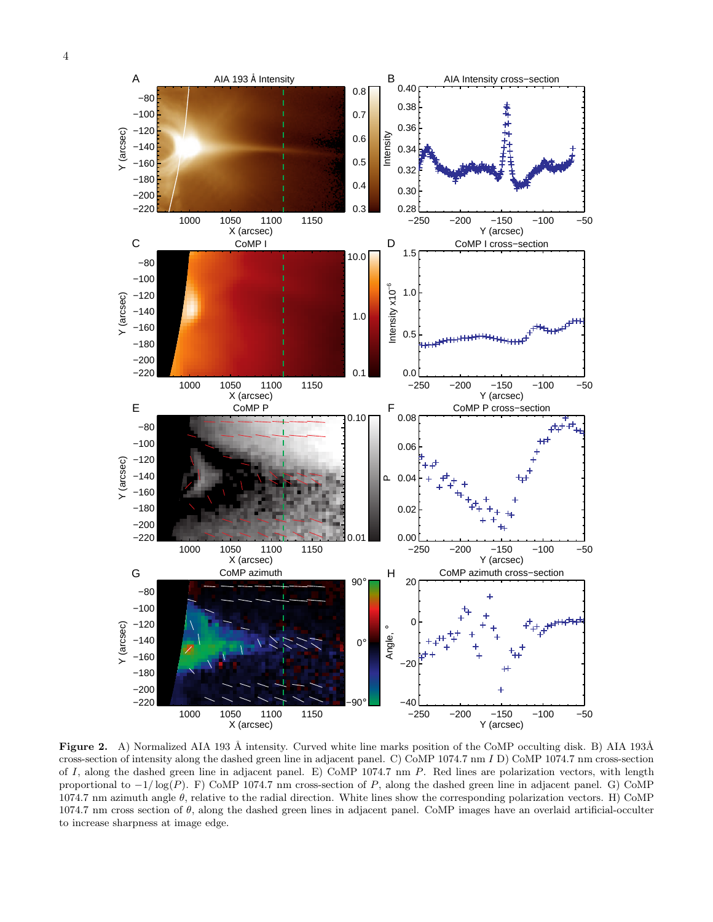

<span id="page-3-0"></span>Figure 2. A) Normalized AIA 193 Å intensity. Curved white line marks position of the CoMP occulting disk. B) AIA 193Å cross-section of intensity along the dashed green line in adjacent panel. C) CoMP 1074.7 nm I D) CoMP 1074.7 nm cross-section of I, along the dashed green line in adjacent panel. E) CoMP 1074.7 nm  $P$ . Red lines are polarization vectors, with length proportional to  $-1/\log(P)$ . F) CoMP 1074.7 nm cross-section of P, along the dashed green line in adjacent panel. G) CoMP  $1074.7$  nm azimuth angle θ, relative to the radial direction. White lines show the corresponding polarization vectors. H) CoMP  $1074.7$  nm cross section of  $\theta$ , along the dashed green lines in adjacent panel. CoMP images have an overlaid artificial-occulter to increase sharpness at image edge.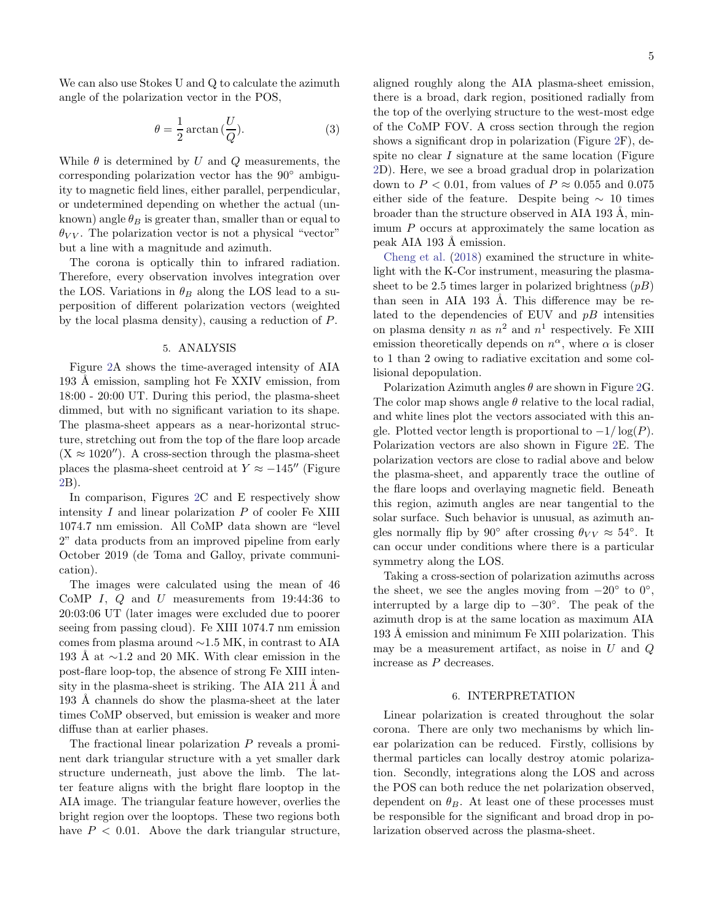We can also use Stokes U and Q to calculate the azimuth angle of the polarization vector in the POS,

$$
\theta = \frac{1}{2}\arctan\left(\frac{U}{Q}\right).
$$
 (3)

While  $\theta$  is determined by U and Q measurements, the corresponding polarization vector has the 90◦ ambiguity to magnetic field lines, either parallel, perpendicular, or undetermined depending on whether the actual (unknown) angle  $\theta_B$  is greater than, smaller than or equal to  $\theta_{VV}$ . The polarization vector is not a physical "vector" but a line with a magnitude and azimuth.

The corona is optically thin to infrared radiation. Therefore, every observation involves integration over the LOS. Variations in  $\theta_B$  along the LOS lead to a superposition of different polarization vectors (weighted by the local plasma density), causing a reduction of P.

### 5. ANALYSIS

Figure [2A](#page-3-0) shows the time-averaged intensity of AIA 193 Å emission, sampling hot Fe XXIV emission, from 18:00 - 20:00 UT. During this period, the plasma-sheet dimmed, but with no significant variation to its shape. The plasma-sheet appears as a near-horizontal structure, stretching out from the top of the flare loop arcade  $(X \approx 1020'')$ . A cross-section through the plasma-sheet places the plasma-sheet centroid at  $Y \approx -145''$  (Figure [2B](#page-3-0)).

In comparison, Figures [2C](#page-3-0) and E respectively show intensity  $I$  and linear polarization  $P$  of cooler Fe XIII 1074.7 nm emission. All CoMP data shown are "level 2" data products from an improved pipeline from early October 2019 (de Toma and Galloy, private communication).

The images were calculated using the mean of 46 CoMP I,  $Q$  and  $U$  measurements from 19:44:36 to 20:03:06 UT (later images were excluded due to poorer seeing from passing cloud). Fe XIII 1074.7 nm emission comes from plasma around ∼1.5 MK, in contrast to AIA 193 Å at  $\sim$ 1.2 and 20 MK. With clear emission in the post-flare loop-top, the absence of strong Fe XIII intensity in the plasma-sheet is striking. The AIA 211  $\AA$  and 193 Å channels do show the plasma-sheet at the later times CoMP observed, but emission is weaker and more diffuse than at earlier phases.

The fractional linear polarization P reveals a prominent dark triangular structure with a yet smaller dark structure underneath, just above the limb. The latter feature aligns with the bright flare looptop in the AIA image. The triangular feature however, overlies the bright region over the looptops. These two regions both have  $P < 0.01$ . Above the dark triangular structure, aligned roughly along the AIA plasma-sheet emission, there is a broad, dark region, positioned radially from the top of the overlying structure to the west-most edge of the CoMP FOV. A cross section through the region shows a significant drop in polarization (Figure [2F](#page-3-0)), despite no clear I signature at the same location (Figure [2D](#page-3-0)). Here, we see a broad gradual drop in polarization down to  $P < 0.01$ , from values of  $P \approx 0.055$  and 0.075 either side of the feature. Despite being  $\sim$  10 times broader than the structure observed in AIA 193 Å, minimum P occurs at approximately the same location as peak AIA 193 Å emission.

[Cheng et al.](#page-8-15) [\(2018](#page-8-15)) examined the structure in whitelight with the K-Cor instrument, measuring the plasmasheet to be 2.5 times larger in polarized brightness  $(pB)$ than seen in AIA 193 Å. This difference may be related to the dependencies of EUV and  $pB$  intensities on plasma density n as  $n^2$  and  $n^1$  respectively. Fe XIII emission theoretically depends on  $n^{\alpha}$ , where  $\alpha$  is closer to 1 than 2 owing to radiative excitation and some collisional depopulation.

Polarization Azimuth angles  $\theta$  are shown in Figure [2G](#page-3-0). The color map shows angle  $\theta$  relative to the local radial, and white lines plot the vectors associated with this angle. Plotted vector length is proportional to  $-1/\log(P)$ . Polarization vectors are also shown in Figure [2E](#page-3-0). The polarization vectors are close to radial above and below the plasma-sheet, and apparently trace the outline of the flare loops and overlaying magnetic field. Beneath this region, azimuth angles are near tangential to the solar surface. Such behavior is unusual, as azimuth angles normally flip by 90° after crossing  $\theta_{VV} \approx 54^{\circ}$ . It can occur under conditions where there is a particular symmetry along the LOS.

Taking a cross-section of polarization azimuths across the sheet, we see the angles moving from  $-20°$  to  $0°$ , interrupted by a large dip to  $-30°$ . The peak of the azimuth drop is at the same location as maximum AIA 193 Å emission and minimum Fe XIII polarization. This may be a measurement artifact, as noise in  $U$  and  $Q$ increase as P decreases.

## 6. INTERPRETATION

Linear polarization is created throughout the solar corona. There are only two mechanisms by which linear polarization can be reduced. Firstly, collisions by thermal particles can locally destroy atomic polarization. Secondly, integrations along the LOS and across the POS can both reduce the net polarization observed, dependent on  $\theta_B$ . At least one of these processes must be responsible for the significant and broad drop in polarization observed across the plasma-sheet.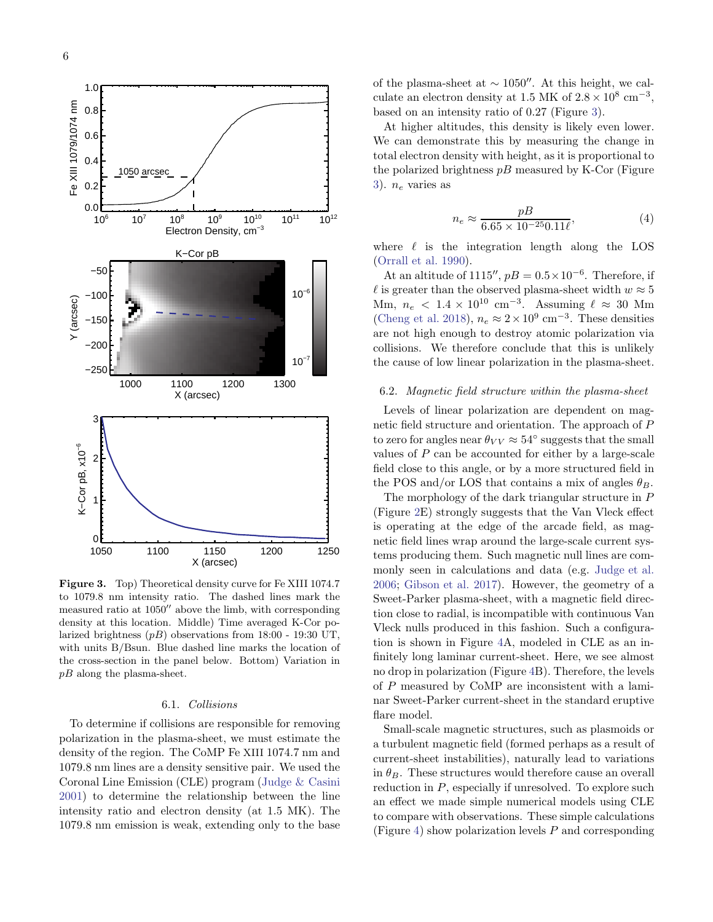

<span id="page-5-0"></span>Figure 3. Top) Theoretical density curve for Fe XIII 1074.7 to 1079.8 nm intensity ratio. The dashed lines mark the measured ratio at 1050′′ above the limb, with corresponding density at this location. Middle) Time averaged K-Cor polarized brightness  $(pB)$  observations from 18:00 - 19:30 UT, with units B/Bsun. Blue dashed line marks the location of the cross-section in the panel below. Bottom) Variation in  $pB$  along the plasma-sheet.

## 6.1. Collisions

To determine if collisions are responsible for removing polarization in the plasma-sheet, we must estimate the density of the region. The CoMP Fe XIII 1074.7 nm and 1079.8 nm lines are a density sensitive pair. We used the Coronal Line Emission (CLE) program [\(Judge & Casini](#page-8-25) [2001\)](#page-8-25) to determine the relationship between the line intensity ratio and electron density (at 1.5 MK). The 1079.8 nm emission is weak, extending only to the base of the plasma-sheet at  $\sim$  1050″. At this height, we calculate an electron density at 1.5 MK of  $2.8 \times 10^8$  cm<sup>-3</sup>, based on an intensity ratio of 0.27 (Figure [3\)](#page-5-0).

At higher altitudes, this density is likely even lower. We can demonstrate this by measuring the change in total electron density with height, as it is proportional to the polarized brightness  $pB$  measured by K-Cor (Figure [3\)](#page-5-0).  $n_e$  varies as

$$
n_e \approx \frac{pB}{6.65 \times 10^{-25} 0.11 \ell},\tag{4}
$$

where  $\ell$  is the integration length along the LOS [\(Orrall et al. 1990](#page-8-26)).

At an altitude of 1115'',  $pB = 0.5 \times 10^{-6}$ . Therefore, if l is greater than the observed plasma-sheet width  $w \approx 5$ Mm,  $n_e < 1.4 \times 10^{10}$  cm<sup>-3</sup>. Assuming  $\ell \approx 30$  Mm [\(Cheng et al. 2018\)](#page-8-15),  $n_e \approx 2 \times 10^9$  cm<sup>-3</sup>. These densities are not high enough to destroy atomic polarization via collisions. We therefore conclude that this is unlikely the cause of low linear polarization in the plasma-sheet.

## 6.2. Magnetic field structure within the plasma-sheet

Levels of linear polarization are dependent on magnetic field structure and orientation. The approach of P to zero for angles near  $\theta_{VV} \approx 54^\circ$  suggests that the small values of  $P$  can be accounted for either by a large-scale field close to this angle, or by a more structured field in the POS and/or LOS that contains a mix of angles  $\theta_B$ .

The morphology of the dark triangular structure in P (Figure [2E](#page-3-0)) strongly suggests that the Van Vleck effect is operating at the edge of the arcade field, as magnetic field lines wrap around the large-scale current systems producing them. Such magnetic null lines are commonly seen in calculations and data (e.g. [Judge et al.](#page-8-27) [2006;](#page-8-27) [Gibson et al. 2017\)](#page-8-28). However, the geometry of a Sweet-Parker plasma-sheet, with a magnetic field direction close to radial, is incompatible with continuous Van Vleck nulls produced in this fashion. Such a configuration is shown in Figure [4A](#page-6-0), modeled in CLE as an infinitely long laminar current-sheet. Here, we see almost no drop in polarization (Figure [4B](#page-6-0)). Therefore, the levels of P measured by CoMP are inconsistent with a laminar Sweet-Parker current-sheet in the standard eruptive flare model.

Small-scale magnetic structures, such as plasmoids or a turbulent magnetic field (formed perhaps as a result of current-sheet instabilities), naturally lead to variations in  $\theta_B$ . These structures would therefore cause an overall reduction in  $P$ , especially if unresolved. To explore such an effect we made simple numerical models using CLE to compare with observations. These simple calculations (Figure [4\)](#page-6-0) show polarization levels P and corresponding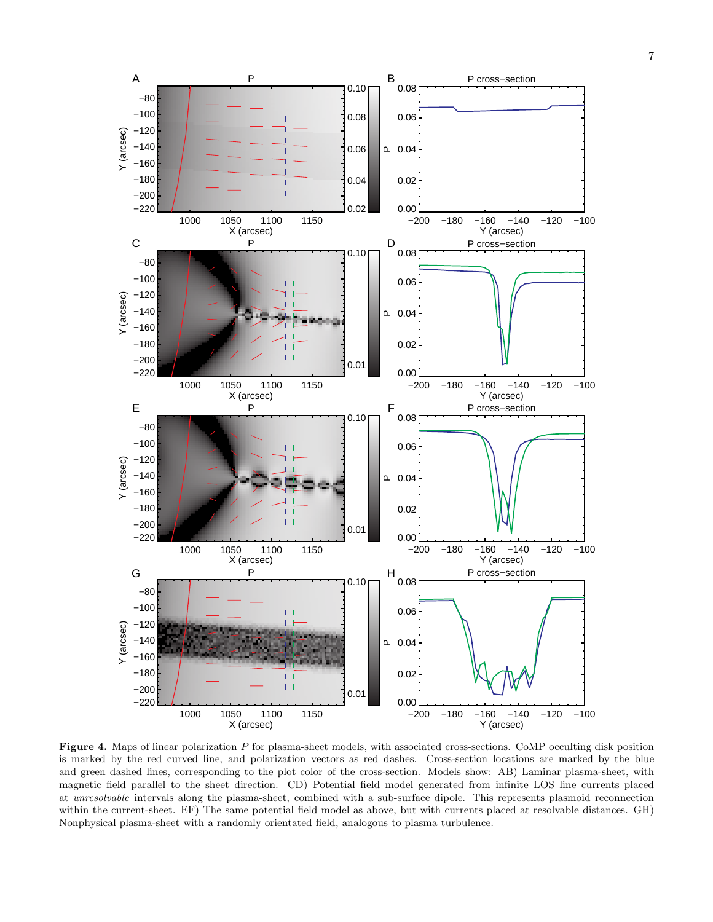

<span id="page-6-0"></span>**Figure 4.** Maps of linear polarization  $P$  for plasma-sheet models, with associated cross-sections. CoMP occulting disk position is marked by the red curved line, and polarization vectors as red dashes. Cross-section locations are marked by the blue and green dashed lines, corresponding to the plot color of the cross-section. Models show: AB) Laminar plasma-sheet, with magnetic field parallel to the sheet direction. CD) Potential field model generated from infinite LOS line currents placed at unresolvable intervals along the plasma-sheet, combined with a sub-surface dipole. This represents plasmoid reconnection within the current-sheet. EF) The same potential field model as above, but with currents placed at resolvable distances. GH) Nonphysical plasma-sheet with a randomly orientated field, analogous to plasma turbulence.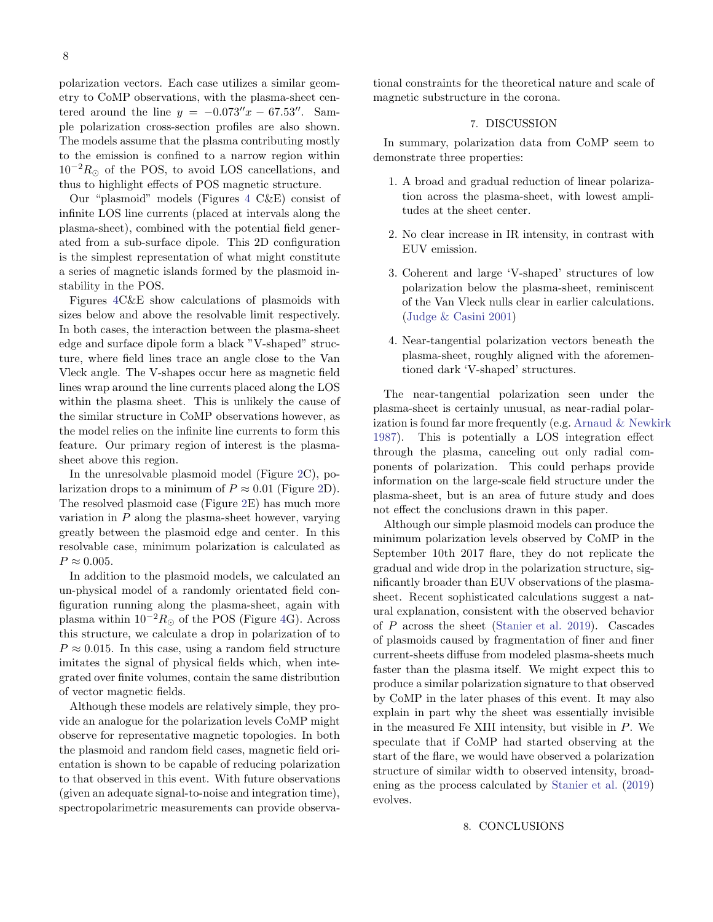polarization vectors. Each case utilizes a similar geometry to CoMP observations, with the plasma-sheet centered around the line  $y = -0.073''x - 67.53''$ . Sample polarization cross-section profiles are also shown. The models assume that the plasma contributing mostly to the emission is confined to a narrow region within  $10^{-2}R_{\odot}$  of the POS, to avoid LOS cancellations, and thus to highlight effects of POS magnetic structure.

Our "plasmoid" models (Figures [4](#page-6-0) C&E) consist of infinite LOS line currents (placed at intervals along the plasma-sheet), combined with the potential field generated from a sub-surface dipole. This 2D configuration is the simplest representation of what might constitute a series of magnetic islands formed by the plasmoid instability in the POS.

Figures [4C](#page-6-0)&E show calculations of plasmoids with sizes below and above the resolvable limit respectively. In both cases, the interaction between the plasma-sheet edge and surface dipole form a black "V-shaped" structure, where field lines trace an angle close to the Van Vleck angle. The V-shapes occur here as magnetic field lines wrap around the line currents placed along the LOS within the plasma sheet. This is unlikely the cause of the similar structure in CoMP observations however, as the model relies on the infinite line currents to form this feature. Our primary region of interest is the plasmasheet above this region.

In the unresolvable plasmoid model (Figure [2C](#page-3-0)), polarization drops to a minimum of  $P \approx 0.01$  (Figure [2D](#page-3-0)). The resolved plasmoid case (Figure [2E](#page-3-0)) has much more variation in  $P$  along the plasma-sheet however, varying greatly between the plasmoid edge and center. In this resolvable case, minimum polarization is calculated as  $P \approx 0.005$ .

In addition to the plasmoid models, we calculated an un-physical model of a randomly orientated field configuration running along the plasma-sheet, again with plasma within  $10^{-2}R_{\odot}$  of the POS (Figure [4G](#page-6-0)). Across this structure, we calculate a drop in polarization of to  $P \approx 0.015$ . In this case, using a random field structure imitates the signal of physical fields which, when integrated over finite volumes, contain the same distribution of vector magnetic fields.

Although these models are relatively simple, they provide an analogue for the polarization levels CoMP might observe for representative magnetic topologies. In both the plasmoid and random field cases, magnetic field orientation is shown to be capable of reducing polarization to that observed in this event. With future observations (given an adequate signal-to-noise and integration time), spectropolarimetric measurements can provide observational constraints for the theoretical nature and scale of magnetic substructure in the corona.

## 7. DISCUSSION

In summary, polarization data from CoMP seem to demonstrate three properties:

- 1. A broad and gradual reduction of linear polarization across the plasma-sheet, with lowest amplitudes at the sheet center.
- 2. No clear increase in IR intensity, in contrast with EUV emission.
- 3. Coherent and large 'V-shaped' structures of low polarization below the plasma-sheet, reminiscent of the Van Vleck nulls clear in earlier calculations. [\(Judge & Casini 2001\)](#page-8-25)
- 4. Near-tangential polarization vectors beneath the plasma-sheet, roughly aligned with the aforementioned dark 'V-shaped' structures.

The near-tangential polarization seen under the plasma-sheet is certainly unusual, as near-radial polarization is found far more frequently (e.g. [Arnaud & Newkirk](#page-8-29) [1987\)](#page-8-29). This is potentially a LOS integration effect through the plasma, canceling out only radial components of polarization. This could perhaps provide information on the large-scale field structure under the plasma-sheet, but is an area of future study and does not effect the conclusions drawn in this paper.

Although our simple plasmoid models can produce the minimum polarization levels observed by CoMP in the September 10th 2017 flare, they do not replicate the gradual and wide drop in the polarization structure, significantly broader than EUV observations of the plasmasheet. Recent sophisticated calculations suggest a natural explanation, consistent with the observed behavior of P across the sheet [\(Stanier et al. 2019](#page-8-30)). Cascades of plasmoids caused by fragmentation of finer and finer current-sheets diffuse from modeled plasma-sheets much faster than the plasma itself. We might expect this to produce a similar polarization signature to that observed by CoMP in the later phases of this event. It may also explain in part why the sheet was essentially invisible in the measured Fe XIII intensity, but visible in P. We speculate that if CoMP had started observing at the start of the flare, we would have observed a polarization structure of similar width to observed intensity, broadening as the process calculated by [Stanier et al.](#page-8-30) [\(2019](#page-8-30)) evolves.

## 8. CONCLUSIONS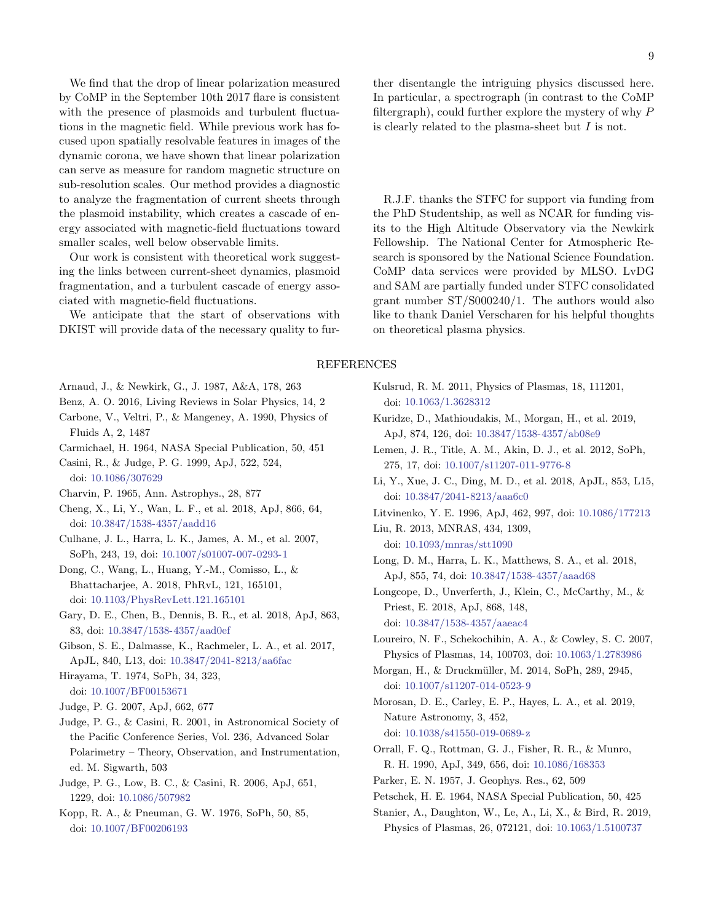We find that the drop of linear polarization measured by CoMP in the September 10th 2017 flare is consistent with the presence of plasmoids and turbulent fluctuations in the magnetic field. While previous work has focused upon spatially resolvable features in images of the dynamic corona, we have shown that linear polarization can serve as measure for random magnetic structure on sub-resolution scales. Our method provides a diagnostic to analyze the fragmentation of current sheets through the plasmoid instability, which creates a cascade of energy associated with magnetic-field fluctuations toward smaller scales, well below observable limits.

Our work is consistent with theoretical work suggesting the links between current-sheet dynamics, plasmoid fragmentation, and a turbulent cascade of energy associated with magnetic-field fluctuations.

We anticipate that the start of observations with DKIST will provide data of the necessary quality to further disentangle the intriguing physics discussed here. In particular, a spectrograph (in contrast to the CoMP filtergraph), could further explore the mystery of why  $P$ is clearly related to the plasma-sheet but  $I$  is not.

R.J.F. thanks the STFC for support via funding from the PhD Studentship, as well as NCAR for funding visits to the High Altitude Observatory via the Newkirk Fellowship. The National Center for Atmospheric Research is sponsored by the National Science Foundation. CoMP data services were provided by MLSO. LvDG and SAM are partially funded under STFC consolidated grant number ST/S000240/1. The authors would also like to thank Daniel Verscharen for his helpful thoughts on theoretical plasma physics.

# REFERENCES

- <span id="page-8-29"></span>Arnaud, J., & Newkirk, G., J. 1987, A&A, 178, 263
- <span id="page-8-6"></span>Benz, A. O. 2016, Living Reviews in Solar Physics, 14, 2
- <span id="page-8-7"></span>Carbone, V., Veltri, P., & Mangeney, A. 1990, Physics of Fluids A, 2, 1487
- <span id="page-8-2"></span>Carmichael, H. 1964, NASA Special Publication, 50, 451
- <span id="page-8-23"></span>Casini, R., & Judge, P. G. 1999, ApJ, 522, 524, doi: [10.1086/307629](http://doi.org/10.1086/307629)
- <span id="page-8-22"></span>Charvin, P. 1965, Ann. Astrophys., 28, 877
- <span id="page-8-15"></span>Cheng, X., Li, Y., Wan, L. F., et al. 2018, ApJ, 866, 64, doi: [10.3847/1538-4357/aadd16](http://doi.org/10.3847/1538-4357/aadd16)
- <span id="page-8-19"></span>Culhane, J. L., Harra, L. K., James, A. M., et al. 2007, SoPh, 243, 19, doi: [10.1007/s01007-007-0293-1](http://doi.org/10.1007/s01007-007-0293-1)
- <span id="page-8-9"></span>Dong, C., Wang, L., Huang, Y.-M., Comisso, L., & Bhattacharjee, A. 2018, PhRvL, 121, 165101, doi: [10.1103/PhysRevLett.121.165101](http://doi.org/10.1103/PhysRevLett.121.165101)
- <span id="page-8-17"></span>Gary, D. E., Chen, B., Dennis, B. R., et al. 2018, ApJ, 863, 83, doi: [10.3847/1538-4357/aad0ef](http://doi.org/10.3847/1538-4357/aad0ef)
- <span id="page-8-28"></span>Gibson, S. E., Dalmasse, K., Rachmeler, L. A., et al. 2017, ApJL, 840, L13, doi: [10.3847/2041-8213/aa6fac](http://doi.org/10.3847/2041-8213/aa6fac)
- <span id="page-8-3"></span>Hirayama, T. 1974, SoPh, 34, 323, doi: [10.1007/BF00153671](http://doi.org/10.1007/BF00153671)
- <span id="page-8-24"></span>Judge, P. G. 2007, ApJ, 662, 677
- <span id="page-8-25"></span>Judge, P. G., & Casini, R. 2001, in Astronomical Society of the Pacific Conference Series, Vol. 236, Advanced Solar Polarimetry – Theory, Observation, and Instrumentation, ed. M. Sigwarth, 503
- <span id="page-8-27"></span>Judge, P. G., Low, B. C., & Casini, R. 2006, ApJ, 651, 1229, doi: [10.1086/507982](http://doi.org/10.1086/507982)
- <span id="page-8-4"></span>Kopp, R. A., & Pneuman, G. W. 1976, SoPh, 50, 85, doi: [10.1007/BF00206193](http://doi.org/10.1007/BF00206193)
- <span id="page-8-5"></span>Kulsrud, R. M. 2011, Physics of Plasmas, 18, 111201, doi: [10.1063/1.3628312](http://doi.org/10.1063/1.3628312)
- <span id="page-8-13"></span>Kuridze, D., Mathioudakis, M., Morgan, H., et al. 2019, ApJ, 874, 126, doi: [10.3847/1538-4357/ab08e9](http://doi.org/10.3847/1538-4357/ab08e9)
- <span id="page-8-20"></span>Lemen, J. R., Title, A. M., Akin, D. J., et al. 2012, SoPh, 275, 17, doi: [10.1007/s11207-011-9776-8](http://doi.org/10.1007/s11207-011-9776-8)
- <span id="page-8-14"></span>Li, Y., Xue, J. C., Ding, M. D., et al. 2018, ApJL, 853, L15, doi: [10.3847/2041-8213/aaa6c0](http://doi.org/10.3847/2041-8213/aaa6c0)
- <span id="page-8-10"></span>Litvinenko, Y. E. 1996, ApJ, 462, 997, doi: [10.1086/177213](http://doi.org/10.1086/177213)
- <span id="page-8-11"></span>Liu, R. 2013, MNRAS, 434, 1309, doi: [10.1093/mnras/stt1090](http://doi.org/10.1093/mnras/stt1090)
- <span id="page-8-12"></span>Long, D. M., Harra, L. K., Matthews, S. A., et al. 2018, ApJ, 855, 74, doi: [10.3847/1538-4357/aaad68](http://doi.org/10.3847/1538-4357/aaad68)
- <span id="page-8-16"></span>Longcope, D., Unverferth, J., Klein, C., McCarthy, M., & Priest, E. 2018, ApJ, 868, 148, doi: [10.3847/1538-4357/aaeac4](http://doi.org/10.3847/1538-4357/aaeac4)
- <span id="page-8-8"></span>Loureiro, N. F., Schekochihin, A. A., & Cowley, S. C. 2007, Physics of Plasmas, 14, 100703, doi: [10.1063/1.2783986](http://doi.org/10.1063/1.2783986)
- <span id="page-8-21"></span>Morgan, H., & Druckmüller, M. 2014, SoPh, 289, 2945, doi: [10.1007/s11207-014-0523-9](http://doi.org/10.1007/s11207-014-0523-9)
- <span id="page-8-18"></span>Morosan, D. E., Carley, E. P., Hayes, L. A., et al. 2019, Nature Astronomy, 3, 452, doi: [10.1038/s41550-019-0689-z](http://doi.org/10.1038/s41550-019-0689-z)
- <span id="page-8-26"></span>Orrall, F. Q., Rottman, G. J., Fisher, R. R., & Munro, R. H. 1990, ApJ, 349, 656, doi: [10.1086/168353](http://doi.org/10.1086/168353)
- <span id="page-8-0"></span>Parker, E. N. 1957, J. Geophys. Res., 62, 509
- <span id="page-8-1"></span>Petschek, H. E. 1964, NASA Special Publication, 50, 425
- <span id="page-8-30"></span>Stanier, A., Daughton, W., Le, A., Li, X., & Bird, R. 2019, Physics of Plasmas, 26, 072121, doi: [10.1063/1.5100737](http://doi.org/10.1063/1.5100737)